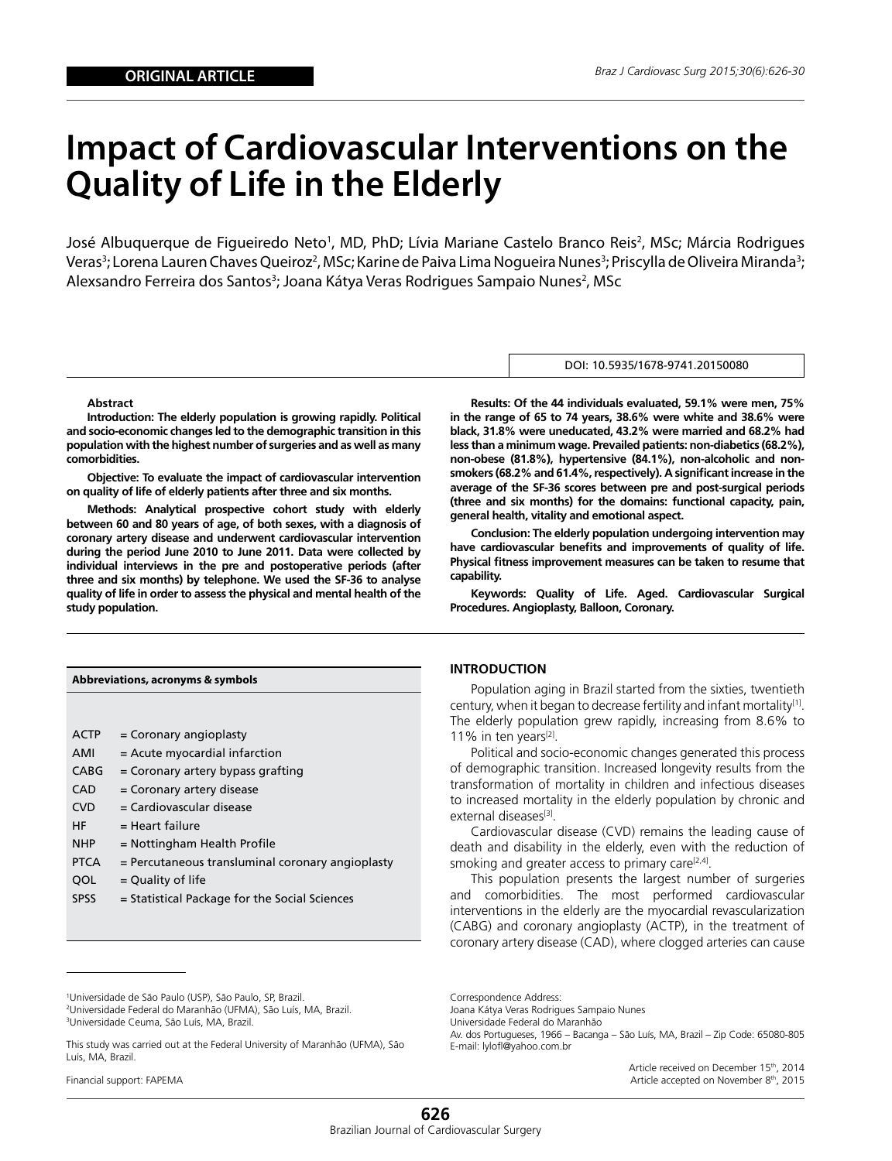# **Impact of Cardiovascular Interventions on the Quality of Life in the Elderly**

José Albuquerque de Figueiredo Neto<sup>1</sup>, MD, PhD; Lívia Mariane Castelo Branco Reis<sup>2</sup>, MSc; Márcia Rodrigues Veras<sup>3</sup>; Lorena Lauren Chaves Queiroz<sup>2</sup>, MSc; Karine de Paiva Lima Nogueira Nunes<sup>3</sup>; Priscylla de Oliveira Miranda<sup>3</sup>; Alexsandro Ferreira dos Santos<sup>3</sup>; Joana Kátya Veras Rodrigues Sampaio Nunes<sup>2</sup>, MSc

#### **Abstract**

**Introduction: The elderly population is growing rapidly. Political and socio-economic changes led to the demographic transition in this population with the highest number of surgeries and as well as many comorbidities.** 

**Objective: To evaluate the impact of cardiovascular intervention on quality of life of elderly patients after three and six months.** 

**Methods: Analytical prospective cohort study with elderly between 60 and 80 years of age, of both sexes, with a diagnosis of coronary artery disease and underwent cardiovascular intervention during the period June 2010 to June 2011. Data were collected by individual interviews in the pre and postoperative periods (after three and six months) by telephone. We used the SF-36 to analyse quality of life in order to assess the physical and mental health of the study population.** 

| Abbreviations, acronyms & symbols |                                                  |  |  |  |
|-----------------------------------|--------------------------------------------------|--|--|--|
|                                   |                                                  |  |  |  |
| <b>ACTP</b>                       | $=$ Coronary angioplasty                         |  |  |  |
| AMI                               | $=$ Acute myocardial infarction                  |  |  |  |
| CABG                              | $=$ Coronary artery bypass grafting              |  |  |  |
| <b>CAD</b>                        | = Coronary artery disease                        |  |  |  |
| <b>CVD</b>                        | = Cardiovascular disease                         |  |  |  |
| HF                                | = Heart failure                                  |  |  |  |
| <b>NHP</b>                        | $=$ Nottingham Health Profile                    |  |  |  |
| <b>PTCA</b>                       | = Percutaneous transluminal coronary angioplasty |  |  |  |
| QOL                               | $=$ Quality of life                              |  |  |  |
| chcc                              | Chathair Daoine an Leatha Caolair Calam          |  |  |  |

SPSS Statistical Package for the Social Sciences

#### DOI: 10.5935/1678-9741.20150080

**Results: Of the 44 individuals evaluated, 59.1% were men, 75% in the range of 65 to 74 years, 38.6% were white and 38.6% were black, 31.8% were uneducated, 43.2% were married and 68.2% had less than a minimum wage. Prevailed patients: non-diabetics (68.2%), non-obese (81.8%), hypertensive (84.1%), non-alcoholic and nonsmokers (68.2% and 61.4%, respectively). A significant increase in the average of the SF-36 scores between pre and post-surgical periods (three and six months) for the domains: functional capacity, pain, general health, vitality and emotional aspect.** 

**Conclusion: The elderly population undergoing intervention may have cardiovascular benefits and improvements of quality of life. Physical fitness improvement measures can be taken to resume that capability.**

**Keywords: Quality of Life. Aged. Cardiovascular Surgical Procedures. Angioplasty, Balloon, Coronary.**

### **INTRODUCTION**

Population aging in Brazil started from the sixties, twentieth century, when it began to decrease fertility and infant mortality<sup>[1]</sup>. The elderly population grew rapidly, increasing from 8.6% to 11% in ten years $^{[2]}$ .

Political and socio-economic changes generated this process of demographic transition. Increased longevity results from the transformation of mortality in children and infectious diseases to increased mortality in the elderly population by chronic and external diseases[3].

Cardiovascular disease (CVD) remains the leading cause of death and disability in the elderly, even with the reduction of smoking and greater access to primary care $[2,4]$ .

This population presents the largest number of surgeries and comorbidities. The most performed cardiovascular interventions in the elderly are the myocardial revascularization (CABG) and coronary angioplasty (ACTP), in the treatment of coronary artery disease (CAD), where clogged arteries can cause

2 Universidade Federal do Maranhão (UFMA), São Luís, MA, Brazil. 3 Universidade Ceuma, São Luís, MA, Brazil.

Financial support: FAPEMA

Correspondence Address: Joana Kátya Veras Rodrigues Sampaio Nunes Universidade Federal do Maranhão Av. dos Portugueses, 1966 – Bacanga – São Luís, MA, Brazil – Zip Code: 65080-805 E-mail: lylofl@yahoo.com.br

> Article received on December 15<sup>th</sup>, 2014 Article accepted on November 8<sup>th</sup>, 2015

<sup>1</sup> Universidade de São Paulo (USP), São Paulo, SP, Brazil.

This study was carried out at the Federal University of Maranhão (UFMA), São Luís, MA, Brazil.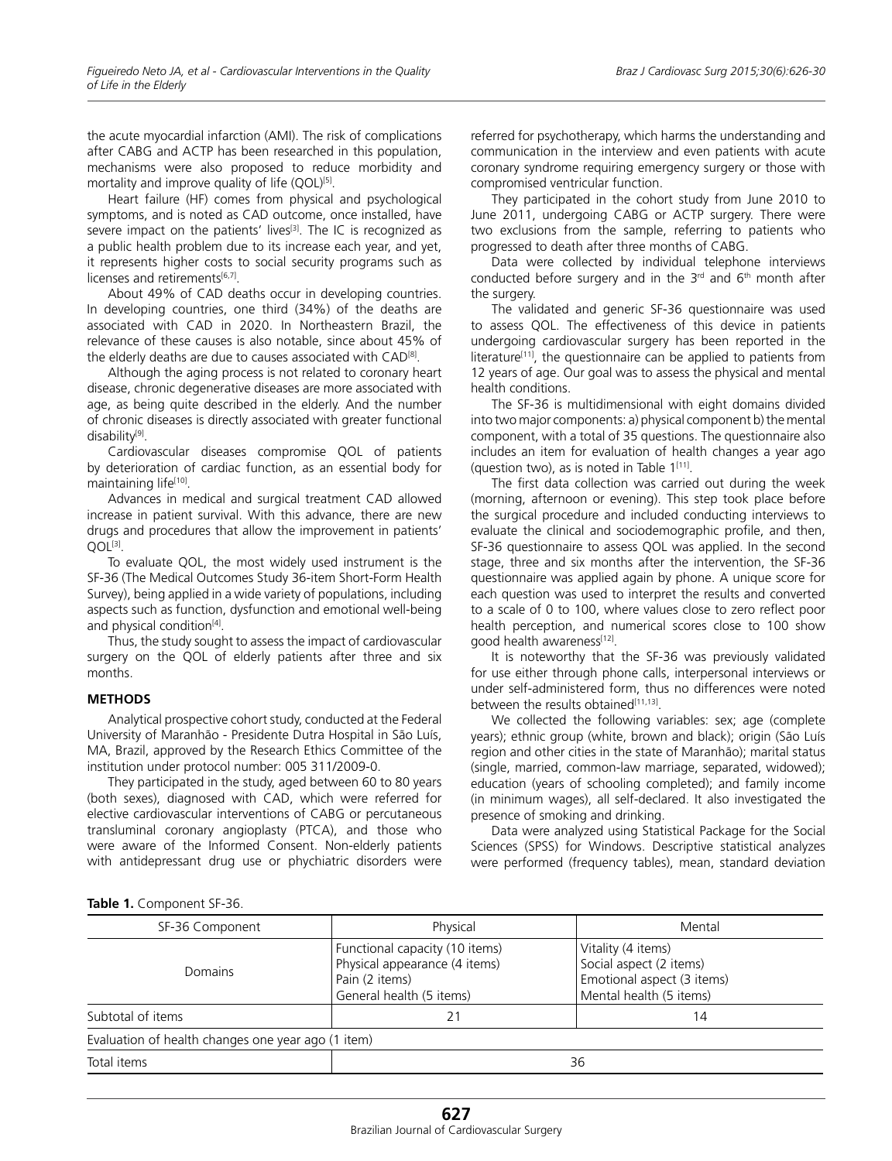the acute myocardial infarction (AMI). The risk of complications after CABG and ACTP has been researched in this population, mechanisms were also proposed to reduce morbidity and mortality and improve quality of life (QOL)<sup>[5]</sup>.

Heart failure (HF) comes from physical and psychological symptoms, and is noted as CAD outcome, once installed, have severe impact on the patients' lives<sup>[3]</sup>. The IC is recognized as a public health problem due to its increase each year, and yet, it represents higher costs to social security programs such as licenses and retirements[6,7].

About 49% of CAD deaths occur in developing countries. In developing countries, one third (34%) of the deaths are associated with CAD in 2020. In Northeastern Brazil, the relevance of these causes is also notable, since about 45% of the elderly deaths are due to causes associated with CAD[8].

Although the aging process is not related to coronary heart disease, chronic degenerative diseases are more associated with age, as being quite described in the elderly. And the number of chronic diseases is directly associated with greater functional disability[9].

Cardiovascular diseases compromise QOL of patients by deterioration of cardiac function, as an essential body for maintaining life[10].

Advances in medical and surgical treatment CAD allowed increase in patient survival. With this advance, there are new drugs and procedures that allow the improvement in patients'  $OOL^{[3]}$ .

To evaluate QOL, the most widely used instrument is the SF-36 (The Medical Outcomes Study 36-item Short-Form Health Survey), being applied in a wide variety of populations, including aspects such as function, dysfunction and emotional well-being and physical condition<sup>[4]</sup>.

Thus, the study sought to assess the impact of cardiovascular surgery on the QOL of elderly patients after three and six months.

## **METHODS**

Analytical prospective cohort study, conducted at the Federal University of Maranhão - Presidente Dutra Hospital in São Luís, MA, Brazil, approved by the Research Ethics Committee of the institution under protocol number: 005 311/2009-0.

They participated in the study, aged between 60 to 80 years (both sexes), diagnosed with CAD, which were referred for elective cardiovascular interventions of CABG or percutaneous transluminal coronary angioplasty (PTCA), and those who were aware of the Informed Consent. Non-elderly patients with antidepressant drug use or phychiatric disorders were referred for psychotherapy, which harms the understanding and communication in the interview and even patients with acute coronary syndrome requiring emergency surgery or those with compromised ventricular function.

They participated in the cohort study from June 2010 to June 2011, undergoing CABG or ACTP surgery. There were two exclusions from the sample, referring to patients who progressed to death after three months of CABG.

Data were collected by individual telephone interviews conducted before surgery and in the  $3<sup>rd</sup>$  and  $6<sup>th</sup>$  month after the surgery.

The validated and generic SF-36 questionnaire was used to assess QOL. The effectiveness of this device in patients undergoing cardiovascular surgery has been reported in the literature<sup>[11]</sup>, the questionnaire can be applied to patients from 12 years of age. Our goal was to assess the physical and mental health conditions.

The SF-36 is multidimensional with eight domains divided into two major components: a) physical component b) the mental component, with a total of 35 questions. The questionnaire also includes an item for evaluation of health changes a year ago (question two), as is noted in Table  $1^{[11]}$ .

The first data collection was carried out during the week (morning, afternoon or evening). This step took place before the surgical procedure and included conducting interviews to evaluate the clinical and sociodemographic profile, and then, SF-36 questionnaire to assess QOL was applied. In the second stage, three and six months after the intervention, the SF-36 questionnaire was applied again by phone. A unique score for each question was used to interpret the results and converted to a scale of 0 to 100, where values close to zero reflect poor health perception, and numerical scores close to 100 show good health awareness[12].

It is noteworthy that the SF-36 was previously validated for use either through phone calls, interpersonal interviews or under self-administered form, thus no differences were noted between the results obtained $[11,13]$ .

We collected the following variables: sex; age (complete years); ethnic group (white, brown and black); origin (São Luís region and other cities in the state of Maranhão); marital status (single, married, common-law marriage, separated, widowed); education (years of schooling completed); and family income (in minimum wages), all self-declared. It also investigated the presence of smoking and drinking.

Data were analyzed using Statistical Package for the Social Sciences (SPSS) for Windows. Descriptive statistical analyzes were performed (frequency tables), mean, standard deviation

**Table 1.** Component SF-36.

| SF-36 Component                                    | Physical                                                                                                      | Mental                                                                                                 |  |  |  |
|----------------------------------------------------|---------------------------------------------------------------------------------------------------------------|--------------------------------------------------------------------------------------------------------|--|--|--|
| <b>Domains</b>                                     | Functional capacity (10 items)<br>Physical appearance (4 items)<br>Pain (2 items)<br>General health (5 items) | Vitality (4 items)<br>Social aspect (2 items)<br>Emotional aspect (3 items)<br>Mental health (5 items) |  |  |  |
| Subtotal of items                                  | 21                                                                                                            | 14                                                                                                     |  |  |  |
| Evaluation of health changes one year ago (1 item) |                                                                                                               |                                                                                                        |  |  |  |
| Total items                                        | 36                                                                                                            |                                                                                                        |  |  |  |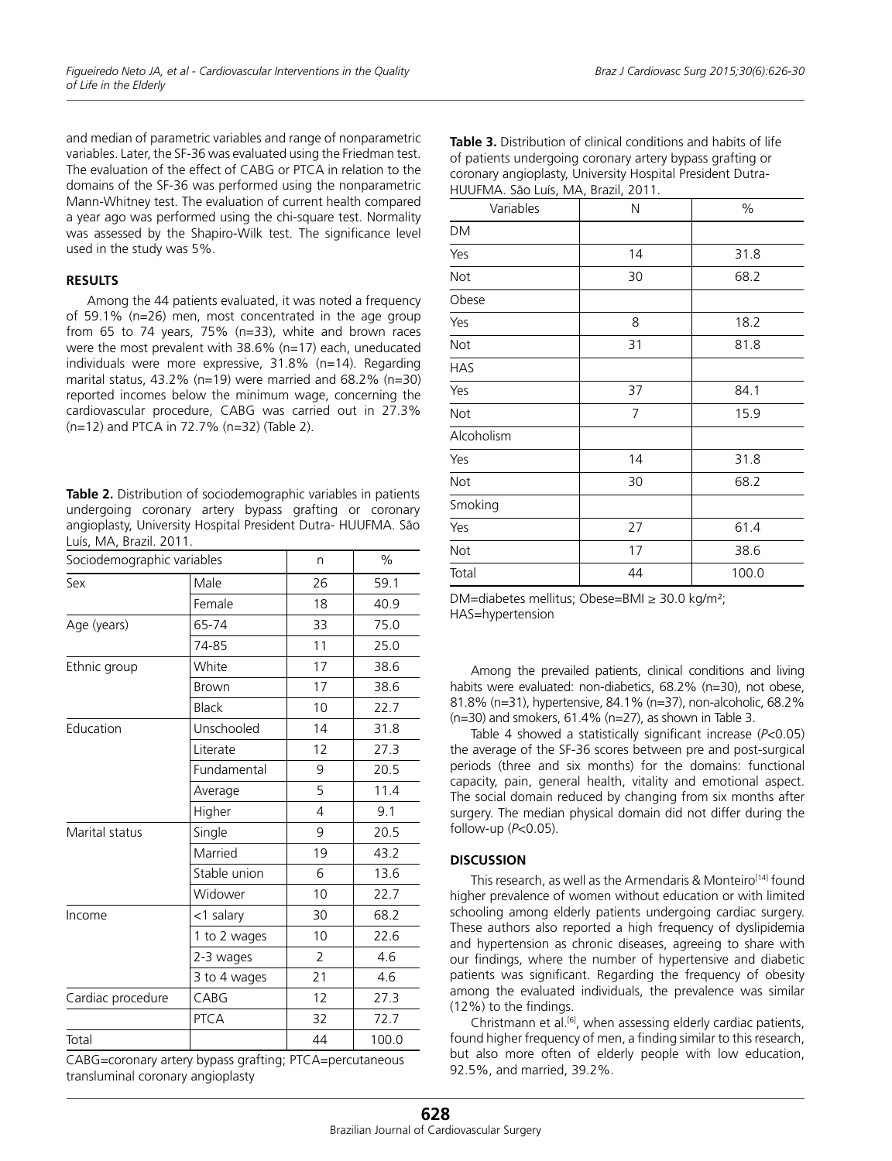and median of parametric variables and range of nonparametric variables. Later, the SF-36 was evaluated using the Friedman test. The evaluation of the effect of CABG or PTCA in relation to the domains of the SF-36 was performed using the nonparametric Mann-Whitney test. The evaluation of current health compared a year ago was performed using the chi-square test. Normality was assessed by the Shapiro-Wilk test. The significance level used in the study was 5%.

## **RESULTS**

Among the 44 patients evaluated, it was noted a frequency of 59.1% (n=26) men, most concentrated in the age group from 65 to 74 years, 75% (n=33), white and brown races were the most prevalent with 38.6% (n=17) each, uneducated individuals were more expressive, 31.8% (n=14). Regarding marital status,  $43.2\%$  (n=19) were married and  $68.2\%$  (n=30) reported incomes below the minimum wage, concerning the cardiovascular procedure, CABG was carried out in 27.3% (n=12) and PTCA in 72.7% (n=32) (Table 2).

**Table 2.** Distribution of sociodemographic variables in patients undergoing coronary artery bypass grafting or coronary angioplasty, University Hospital President Dutra- HUUFMA. São Luís, MA, Brazil. 2011.

| Sociodemographic variables |              | n              | $\%$  |
|----------------------------|--------------|----------------|-------|
| Sex                        | Male         | 26             | 59.1  |
|                            | Female       | 18             | 40.9  |
| Age (years)                | 65-74        | 33             | 75.0  |
|                            | 74-85        | 11             | 25.0  |
| Ethnic group               | White        | 17             | 38.6  |
|                            | <b>Brown</b> | 17             | 38.6  |
|                            | <b>Black</b> | 10             | 22.7  |
| Education                  | Unschooled   | 14             | 31.8  |
|                            | Literate     | 12             | 27.3  |
|                            | Fundamental  | 9              | 20.5  |
|                            | Average      | 5              | 11.4  |
|                            | Higher       | 4              | 9.1   |
| Marital status             | Single       | 9              | 20.5  |
|                            | Married      | 19             | 43.2  |
|                            | Stable union | 6              | 13.6  |
|                            | Widower      | 10             | 22.7  |
| Income                     | <1 salary    | 30             | 68.2  |
|                            | 1 to 2 wages | 10             | 22.6  |
|                            | 2-3 wages    | $\overline{2}$ | 4.6   |
|                            | 3 to 4 wages | 21             | 4.6   |
| Cardiac procedure          | CABG         | 12             | 27.3  |
|                            | <b>PTCA</b>  | 32             | 72.7  |
| Total                      |              | 44             | 100.0 |

CABG=coronary artery bypass grafting; PTCA=percutaneous transluminal coronary angioplasty

| Variables  | N              | $\%$  |
|------------|----------------|-------|
| DM         |                |       |
| Yes        | 14             | 31.8  |
| Not        | 30             | 68.2  |
| Obese      |                |       |
| Yes        | 8              | 18.2  |
| Not        | 31             | 81.8  |
| <b>HAS</b> |                |       |
| Yes        | 37             | 84.1  |
| Not        | $\overline{7}$ | 15.9  |
| Alcoholism |                |       |
| Yes        | 14             | 31.8  |
| Not        | 30             | 68.2  |
| Smoking    |                |       |
| Yes        | 27             | 61.4  |
| Not        | 17             | 38.6  |
| Total      | 44             | 100.0 |

| <b>Table 3.</b> Distribution of clinical conditions and habits of life |
|------------------------------------------------------------------------|
| of patients undergoing coronary artery bypass grafting or              |
| coronary angioplasty, University Hospital President Dutra-             |
| HUUFMA. São Luís, MA, Brazil, 2011.                                    |

Among the prevailed patients, clinical conditions and living habits were evaluated: non-diabetics, 68.2% (n=30), not obese, 81.8% (n=31), hypertensive, 84.1% (n=37), non-alcoholic, 68.2% (n=30) and smokers, 61.4% (n=27), as shown in Table 3.

Table 4 showed a statistically significant increase (*P*<0.05) the average of the SF-36 scores between pre and post-surgical periods (three and six months) for the domains: functional capacity, pain, general health, vitality and emotional aspect. The social domain reduced by changing from six months after surgery. The median physical domain did not differ during the follow-up (*P*<0.05).

# **DISCUSSION**

This research, as well as the Armendaris & Monteiro<sup>[14]</sup> found higher prevalence of women without education or with limited schooling among elderly patients undergoing cardiac surgery. These authors also reported a high frequency of dyslipidemia and hypertension as chronic diseases, agreeing to share with our findings, where the number of hypertensive and diabetic patients was significant. Regarding the frequency of obesity among the evaluated individuals, the prevalence was similar (12%) to the findings.

Christmann et al.[6], when assessing elderly cardiac patients, found higher frequency of men, a finding similar to this research, but also more often of elderly people with low education, 92.5%, and married, 39.2%.

DM=diabetes mellitus; Obese=BMI ≥ 30.0 kg/m²; HAS=hypertension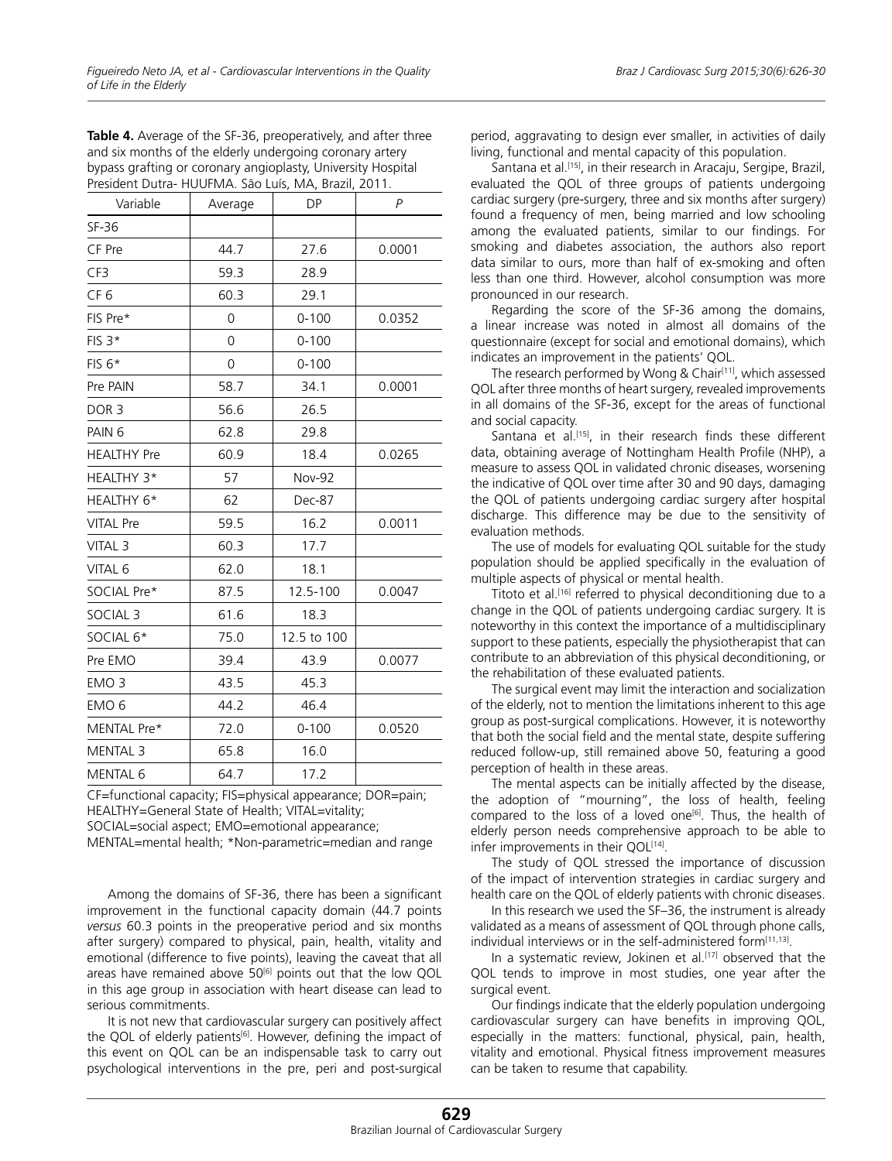| President Dutra- HUUFMA. São Luís, MA, Brazil, 2011. |         |               |                |  |  |
|------------------------------------------------------|---------|---------------|----------------|--|--|
| Variable                                             | Average | <b>DP</b>     | $\overline{P}$ |  |  |
| $SF-36$                                              |         |               |                |  |  |
| CF Pre                                               | 44.7    | 27.6          | 0.0001         |  |  |
| CF3                                                  | 59.3    | 28.9          |                |  |  |
| CF <sub>6</sub>                                      | 60.3    | 29.1          |                |  |  |
| FIS Pre*                                             | 0       | $0 - 100$     | 0.0352         |  |  |
| $FIS$ 3 <sup>*</sup>                                 | 0       | $0 - 100$     |                |  |  |
| $FIS 6*$                                             | 0       | $0 - 100$     |                |  |  |
| Pre PAIN                                             | 58.7    | 34.1          | 0.0001         |  |  |
| DOR <sub>3</sub>                                     | 56.6    | 26.5          |                |  |  |
| PAIN <sub>6</sub>                                    | 62.8    | 29.8          |                |  |  |
| <b>HEALTHY Pre</b>                                   | 60.9    | 18.4          | 0.0265         |  |  |
| HEALTHY 3*                                           | 57      | <b>Nov-92</b> |                |  |  |
| HEALTHY 6*                                           | 62      | <b>Dec-87</b> |                |  |  |
| <b>VITAL Pre</b>                                     | 59.5    | 16.2          | 0.0011         |  |  |
| VITAL <sub>3</sub>                                   | 60.3    | 17.7          |                |  |  |
| VITAL 6                                              | 62.0    | 18.1          |                |  |  |
| SOCIAL Pre*                                          | 87.5    | 12.5-100      | 0.0047         |  |  |
| SOCIAL <sub>3</sub>                                  | 61.6    | 18.3          |                |  |  |
| SOCIAL 6*                                            | 75.0    | 12.5 to 100   |                |  |  |
| Pre EMO                                              | 39.4    | 43.9          | 0.0077         |  |  |
| EMO <sub>3</sub>                                     | 43.5    | 45.3          |                |  |  |
| EMO <sub>6</sub>                                     | 44.2    | 46.4          |                |  |  |
| MENTAL Pre*                                          | 72.0    | $0 - 100$     | 0.0520         |  |  |
| <b>MENTAL 3</b>                                      | 65.8    | 16.0          |                |  |  |
| <b>MENTAL 6</b>                                      | 64.7    | 17.2          |                |  |  |

**Table 4.** Average of the SF-36, preoperatively, and after three and six months of the elderly undergoing coronary artery bypass grafting or coronary angioplasty, University Hospital

CF=functional capacity; FIS=physical appearance; DOR=pain; HEALTHY=General State of Health; VITAL=vitality; SOCIAL=social aspect; EMO=emotional appearance;

MENTAL=mental health; \*Non-parametric=median and range

Among the domains of SF-36, there has been a significant improvement in the functional capacity domain (44.7 points *versus* 60.3 points in the preoperative period and six months after surgery) compared to physical, pain, health, vitality and emotional (difference to five points), leaving the caveat that all areas have remained above 50<sup>[6]</sup> points out that the low QOL in this age group in association with heart disease can lead to serious commitments.

It is not new that cardiovascular surgery can positively affect the QOL of elderly patients<sup>[6]</sup>. However, defining the impact of this event on QOL can be an indispensable task to carry out psychological interventions in the pre, peri and post-surgical

period, aggravating to design ever smaller, in activities of daily living, functional and mental capacity of this population.

Santana et al.<sup>[15]</sup>, in their research in Aracaju, Sergipe, Brazil, evaluated the QOL of three groups of patients undergoing cardiac surgery (pre-surgery, three and six months after surgery) found a frequency of men, being married and low schooling among the evaluated patients, similar to our findings. For smoking and diabetes association, the authors also report data similar to ours, more than half of ex-smoking and often less than one third. However, alcohol consumption was more pronounced in our research.

Regarding the score of the SF-36 among the domains, a linear increase was noted in almost all domains of the questionnaire (except for social and emotional domains), which indicates an improvement in the patients' QOL.

The research performed by Wong & Chair<sup>[11]</sup>, which assessed QOL after three months of heart surgery, revealed improvements in all domains of the SF-36, except for the areas of functional and social capacity.

Santana et al.<sup>[15]</sup>, in their research finds these different data, obtaining average of Nottingham Health Profile (NHP), a measure to assess QOL in validated chronic diseases, worsening the indicative of QOL over time after 30 and 90 days, damaging the QOL of patients undergoing cardiac surgery after hospital discharge. This difference may be due to the sensitivity of evaluation methods.

The use of models for evaluating QOL suitable for the study population should be applied specifically in the evaluation of multiple aspects of physical or mental health.

Titoto et al.[16] referred to physical deconditioning due to a change in the QOL of patients undergoing cardiac surgery. It is noteworthy in this context the importance of a multidisciplinary support to these patients, especially the physiotherapist that can contribute to an abbreviation of this physical deconditioning, or the rehabilitation of these evaluated patients.

The surgical event may limit the interaction and socialization of the elderly, not to mention the limitations inherent to this age group as post-surgical complications. However, it is noteworthy that both the social field and the mental state, despite suffering reduced follow-up, still remained above 50, featuring a good perception of health in these areas.

The mental aspects can be initially affected by the disease, the adoption of "mourning", the loss of health, feeling compared to the loss of a loved one<sup>[6]</sup>. Thus, the health of elderly person needs comprehensive approach to be able to infer improvements in their QOL<sup>[14]</sup>.

The study of QOL stressed the importance of discussion of the impact of intervention strategies in cardiac surgery and health care on the QOL of elderly patients with chronic diseases.

In this research we used the SF–36, the instrument is already validated as a means of assessment of QOL through phone calls, individual interviews or in the self-administered form<sup>[11,13]</sup>.

In a systematic review, Jokinen et al.<sup>[17]</sup> observed that the QOL tends to improve in most studies, one year after the surgical event.

Our findings indicate that the elderly population undergoing cardiovascular surgery can have benefits in improving QOL, especially in the matters: functional, physical, pain, health, vitality and emotional. Physical fitness improvement measures can be taken to resume that capability.